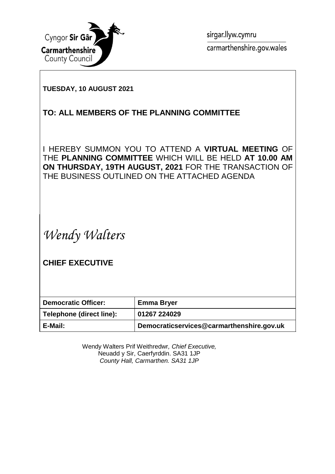

sirgar.llyw.cymru carmarthenshire.gov.wales

#### **TUESDAY, 10 AUGUST 2021**

### **TO: ALL MEMBERS OF THE PLANNING COMMITTEE**

I HEREBY SUMMON YOU TO ATTEND A **VIRTUAL MEETING** OF THE **PLANNING COMMITTEE** WHICH WILL BE HELD **AT 10.00 AM ON THURSDAY, 19TH AUGUST, 2021** FOR THE TRANSACTION OF THE BUSINESS OUTLINED ON THE ATTACHED AGENDA

*Wendy Walters*

**CHIEF EXECUTIVE**

| <b>Democratic Officer:</b> | <b>Emma Bryer</b>                         |
|----------------------------|-------------------------------------------|
| Telephone (direct line):   | 01267 224029                              |
| E-Mail:                    | Democraticservices@carmarthenshire.gov.uk |

Wendy Walters Prif Weithredwr*, Chief Executive,* Neuadd y Sir, Caerfyrddin. SA31 1JP *County Hall, Carmarthen. SA31 1JP*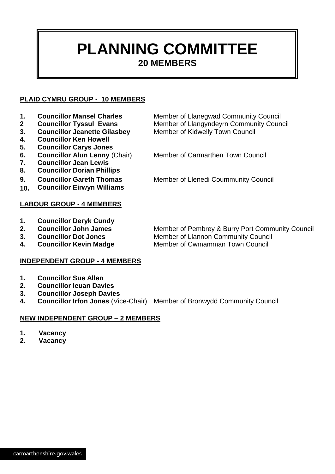## **PLANNING COMMITTEE 20 MEMBERS**

#### **PLAID CYMRU GROUP - 10 MEMBERS**

- 
- 
- 
- **4. Councillor Ken Howell**
- **5. Councillor Carys Jones**
- **7. Councillor Jean Lewis**
- 
- **8. Councillor Dorian Phillips**
- 
- **10. Councillor Eirwyn Williams**
- **LABOUR GROUP - 4 MEMBERS**
- **1. Councillor Deryk Cundy**
- 
- 
- 

## **INDEPENDENT GROUP - 4 MEMBERS**

- **1. Councillor Sue Allen**
- **2. Councillor Ieuan Davies**
- **3. Councillor Joseph Davies**
- **4. Councillor Irfon Jones** (Vice-Chair) Member of Bronwydd Community Council

#### **NEW INDEPENDENT GROUP – 2 MEMBERS**

- **1. Vacancy**
- **2. Vacancy**

1. **Councillor Mansel Charles** Member of Llanegwad Community Council **2 Councillor Tyssul Evans** Member of Llangyndeyrn Community Council **3. Councillor Jeanette Gilasbey** Member of Kidwelly Town Council

**6. Councillor Alun Lenny** (Chair) Member of Carmarthen Town Council

**9. Councillor Gareth Thomas** Member of Llenedi Coummunity Council

**2. Councillor John James** Member of Pembrey & Burry Port Community Council **3. Councillor Dot Jones** Member of Llannon Community Council **4. Councillor Kevin Madge Member of Cwmamman Town Council**